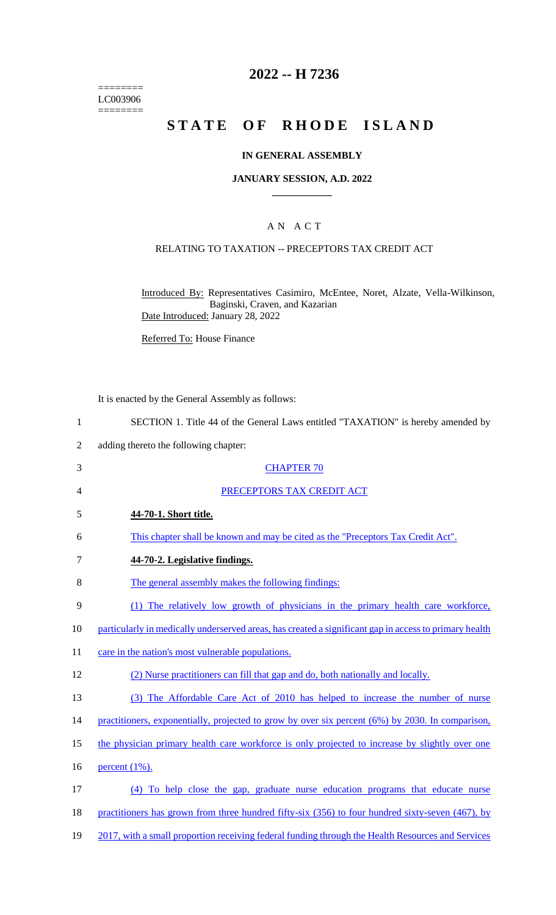======== LC003906  $=$ 

# **2022 -- H 7236**

# **STATE OF RHODE ISLAND**

## **IN GENERAL ASSEMBLY**

#### **JANUARY SESSION, A.D. 2022 \_\_\_\_\_\_\_\_\_\_\_\_**

### A N A C T

### RELATING TO TAXATION -- PRECEPTORS TAX CREDIT ACT

Introduced By: Representatives Casimiro, McEntee, Noret, Alzate, Vella-Wilkinson, Baginski, Craven, and Kazarian Date Introduced: January 28, 2022

Referred To: House Finance

It is enacted by the General Assembly as follows:

| $\mathbf{1}$   | SECTION 1. Title 44 of the General Laws entitled "TAXATION" is hereby amended by                       |
|----------------|--------------------------------------------------------------------------------------------------------|
| $\overline{2}$ | adding thereto the following chapter:                                                                  |
| 3              | <b>CHAPTER 70</b>                                                                                      |
| 4              | PRECEPTORS TAX CREDIT ACT                                                                              |
| 5              | 44-70-1. Short title.                                                                                  |
| 6              | This chapter shall be known and may be cited as the "Preceptors Tax Credit Act".                       |
| $\tau$         | 44-70-2. Legislative findings.                                                                         |
| 8              | The general assembly makes the following findings:                                                     |
| 9              | (1) The relatively low growth of physicians in the primary health care workforce,                      |
| 10             | particularly in medically underserved areas, has created a significant gap in access to primary health |
| 11             | care in the nation's most vulnerable populations.                                                      |
| 12             | (2) Nurse practitioners can fill that gap and do, both nationally and locally.                         |
| 13             | (3) The Affordable Care Act of 2010 has helped to increase the number of nurse                         |
| 14             | practitioners, exponentially, projected to grow by over six percent (6%) by 2030. In comparison,       |
| 15             | the physician primary health care workforce is only projected to increase by slightly over one         |
| 16             | percent $(1\%)$ .                                                                                      |
| 17             | (4) To help close the gap, graduate nurse education programs that educate nurse                        |
| 18             | practitioners has grown from three hundred fifty-six (356) to four hundred sixty-seven (467), by       |
| 19             | 2017, with a small proportion receiving federal funding through the Health Resources and Services      |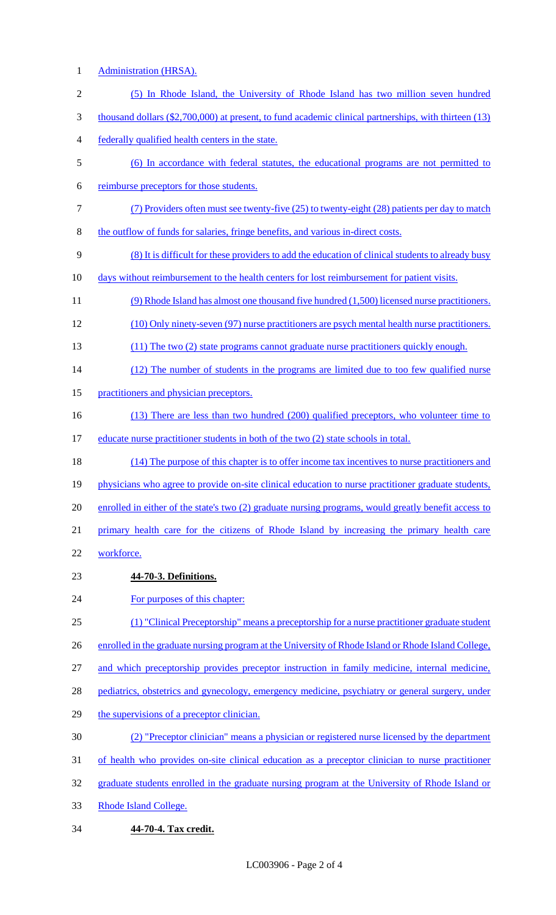- Administration (HRSA).
- (5) In Rhode Island, the University of Rhode Island has two million seven hundred thousand dollars (\$2,700,000) at present, to fund academic clinical partnerships, with thirteen (13) federally qualified health centers in the state. (6) In accordance with federal statutes, the educational programs are not permitted to reimburse preceptors for those students. (7) Providers often must see twenty-five (25) to twenty-eight (28) patients per day to match the outflow of funds for salaries, fringe benefits, and various in-direct costs. (8) It is difficult for these providers to add the education of clinical students to already busy 10 days without reimbursement to the health centers for lost reimbursement for patient visits. (9) Rhode Island has almost one thousand five hundred (1,500) licensed nurse practitioners. (10) Only ninety-seven (97) nurse practitioners are psych mental health nurse practitioners. (11) The two (2) state programs cannot graduate nurse practitioners quickly enough. 14 (12) The number of students in the programs are limited due to too few qualified nurse 15 practitioners and physician preceptors. 16 (13) There are less than two hundred (200) qualified preceptors, who volunteer time to 17 educate nurse practitioner students in both of the two (2) state schools in total. (14) The purpose of this chapter is to offer income tax incentives to nurse practitioners and 19 physicians who agree to provide on-site clinical education to nurse practitioner graduate students, 20 enrolled in either of the state's two (2) graduate nursing programs, would greatly benefit access to primary health care for the citizens of Rhode Island by increasing the primary health care workforce. **44-70-3. Definitions.**  24 For purposes of this chapter: (1) "Clinical Preceptorship" means a preceptorship for a nurse practitioner graduate student 26 enrolled in the graduate nursing program at the University of Rhode Island or Rhode Island College, and which preceptorship provides preceptor instruction in family medicine, internal medicine, 28 pediatrics, obstetrics and gynecology, emergency medicine, psychiatry or general surgery, under 29 the supervisions of a preceptor clinician. (2) "Preceptor clinician" means a physician or registered nurse licensed by the department of health who provides on-site clinical education as a preceptor clinician to nurse practitioner graduate students enrolled in the graduate nursing program at the University of Rhode Island or Rhode Island College. **44-70-4. Tax credit.**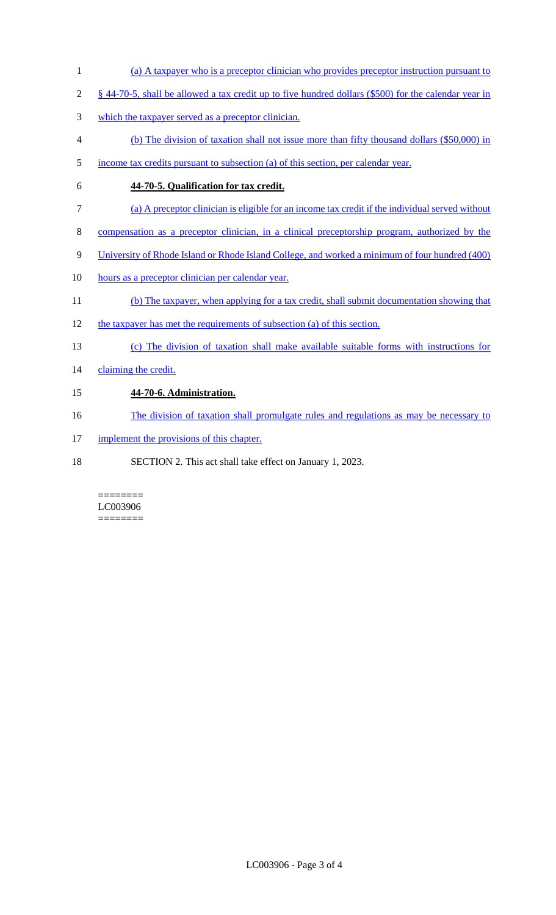- (a) A taxpayer who is a preceptor clinician who provides preceptor instruction pursuant to
- § 44-70-5, shall be allowed a tax credit up to five hundred dollars (\$500) for the calendar year in
- which the taxpayer served as a preceptor clinician.
- (b) The division of taxation shall not issue more than fifty thousand dollars (\$50,000) in
- income tax credits pursuant to subsection (a) of this section, per calendar year.
- **44-70-5. Qualification for tax credit.**
- (a) A preceptor clinician is eligible for an income tax credit if the individual served without
- compensation as a preceptor clinician, in a clinical preceptorship program, authorized by the
- University of Rhode Island or Rhode Island College, and worked a minimum of four hundred (400)
- 10 hours as a preceptor clinician per calendar year.
- (b) The taxpayer, when applying for a tax credit, shall submit documentation showing that
- the taxpayer has met the requirements of subsection (a) of this section.
- (c) The division of taxation shall make available suitable forms with instructions for
- 14 claiming the credit.

# **44-70-6. Administration.**

- 16 The division of taxation shall promulgate rules and regulations as may be necessary to
- 17 implement the provisions of this chapter.
- SECTION 2. This act shall take effect on January 1, 2023.

======== LC003906 ========